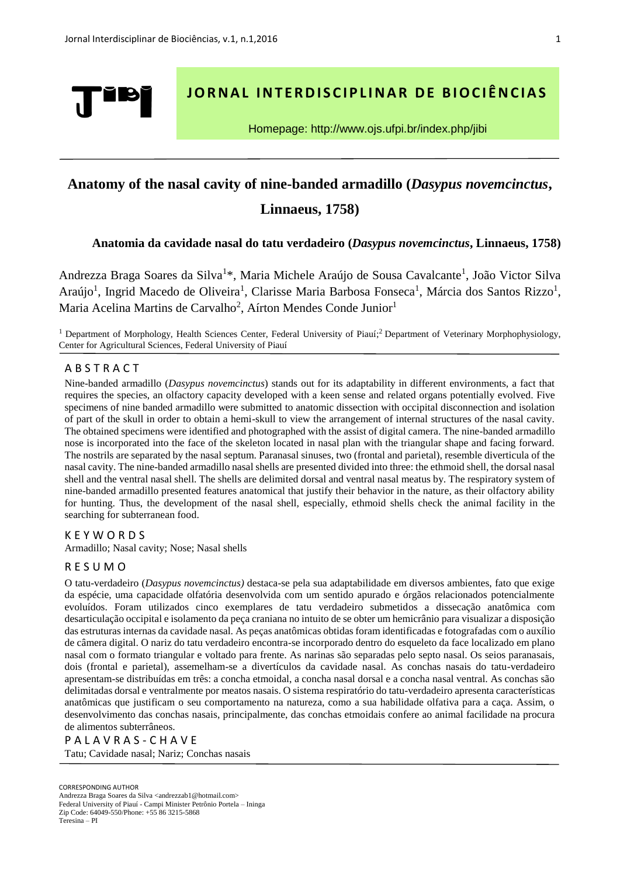

## **JORNAL INTERDISCIPLINAR DE BIOCIÊNCIAS**

Homepage: http://www.ojs.ufpi.br/index.php/jibi

# **Anatomy of the nasal cavity of nine-banded armadillo (***Dasypus novemcinctus***, Linnaeus, 1758)**

## **Anatomia da cavidade nasal do tatu verdadeiro (***Dasypus novemcinctus***, Linnaeus, 1758)**

Andrezza Braga Soares da Silva<sup>1\*</sup>, Maria Michele Araújo de Sousa Cavalcante<sup>1</sup>, João Victor Silva Araújo<sup>1</sup>, Ingrid Macedo de Oliveira<sup>1</sup>, Clarisse Maria Barbosa Fonseca<sup>1</sup>, Márcia dos Santos Rizzo<sup>1</sup>, Maria Acelina Martins de Carvalho<sup>2</sup>, Aírton Mendes Conde Junior<sup>1</sup>

<sup>1</sup> Department of Morphology, Health Sciences Center, Federal University of Piauí;<sup>2</sup> Department of Veterinary Morphophysiology, Center for Agricultural Sciences, Federal University of Piauí

## A B S T R A C T

Nine-banded armadillo (*Dasypus novemcinctus*) stands out for its adaptability in different environments, a fact that requires the species, an olfactory capacity developed with a keen sense and related organs potentially evolved. Five specimens of nine banded armadillo were submitted to anatomic dissection with occipital disconnection and isolation of part of the skull in order to obtain a hemi-skull to view the arrangement of internal structures of the nasal cavity. The obtained specimens were identified and photographed with the assist of digital camera. The nine-banded armadillo nose is incorporated into the face of the skeleton located in nasal plan with the triangular shape and facing forward. The nostrils are separated by the nasal septum. Paranasal sinuses, two (frontal and parietal), resemble diverticula of the nasal cavity. The nine-banded armadillo nasal shells are presented divided into three: the ethmoid shell, the dorsal nasal shell and the ventral nasal shell. The shells are delimited dorsal and ventral nasal meatus by. The respiratory system of nine-banded armadillo presented features anatomical that justify their behavior in the nature, as their olfactory ability for hunting. Thus, the development of the nasal shell, especially, ethmoid shells check the animal facility in the searching for subterranean food.

### K E Y W O R D S

Armadillo; Nasal cavity; Nose; Nasal shells

## R E S U M O

O tatu-verdadeiro (*Dasypus novemcinctus)* destaca-se pela sua adaptabilidade em diversos ambientes, fato que exige da espécie, uma capacidade olfatória desenvolvida com um sentido apurado e órgãos relacionados potencialmente evoluídos. Foram utilizados cinco exemplares de tatu verdadeiro submetidos a dissecação anatômica com desarticulação occipital e isolamento da peça craniana no intuito de se obter um hemicrânio para visualizar a disposição das estruturas internas da cavidade nasal. As peças anatômicas obtidas foram identificadas e fotografadas com o auxílio de câmera digital. O nariz do tatu verdadeiro encontra-se incorporado dentro do esqueleto da face localizado em plano nasal com o formato triangular e voltado para frente. As narinas são separadas pelo septo nasal. Os seios paranasais, dois (frontal e parietal), assemelham-se a divertículos da cavidade nasal. As conchas nasais do tatu-verdadeiro apresentam-se distribuídas em três: a concha etmoidal, a concha nasal dorsal e a concha nasal ventral. As conchas são delimitadas dorsal e ventralmente por meatos nasais. O sistema respiratório do tatu-verdadeiro apresenta características anatômicas que justificam o seu comportamento na natureza, como a sua habilidade olfativa para a caça. Assim, o desenvolvimento das conchas nasais, principalmente, das conchas etmoidais confere ao animal facilidade na procura de alimentos subterrâneos.

P A L A V R A S - C H A V E

Tatu; Cavidade nasal; Nariz; Conchas nasais

CORRESPONDING AUTHOR Andrezza Braga Soares da Silva <andrezzab1@hotmail.com> Federal University of Piauí - Campi Minister Petrônio Portela – Ininga Zip Code: 64049-550/Phone: +55 86 3215-5868 Teresina – PI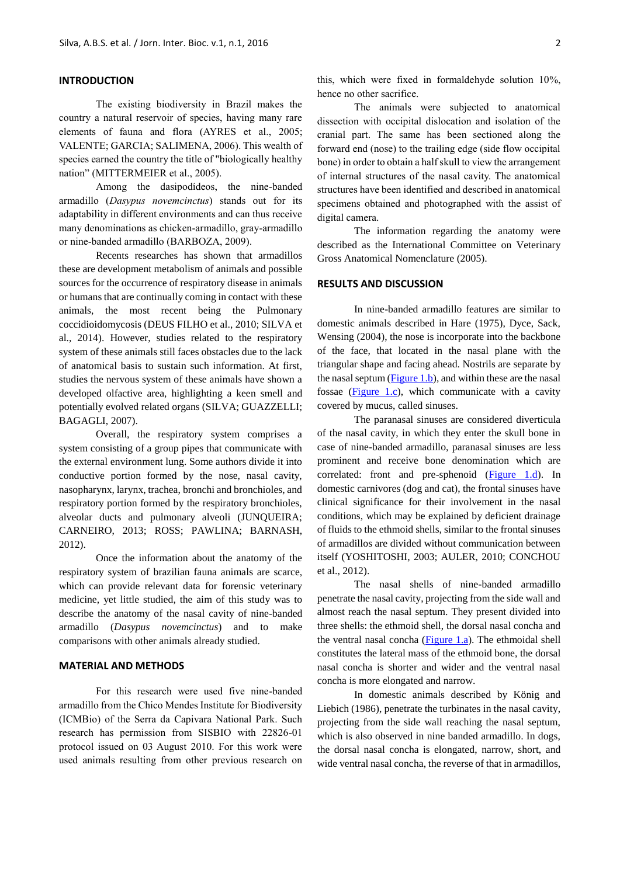#### **INTRODUCTION**

The existing biodiversity in Brazil makes the country a natural reservoir of species, having many rare elements of fauna and flora (AYRES et al., 2005; VALENTE; GARCIA; SALIMENA, 2006). This wealth of species earned the country the title of "biologically healthy nation" (MITTERMEIER et al., 2005).

Among the dasipodídeos, the nine-banded armadillo (*Dasypus novemcinctus*) stands out for its adaptability in different environments and can thus receive many denominations as chicken-armadillo, gray-armadillo or nine-banded armadillo (BARBOZA, 2009).

Recents researches has shown that armadillos these are development metabolism of animals and possible sources for the occurrence of respiratory disease in animals or humans that are continually coming in contact with these animals, the most recent being the Pulmonary coccidioidomycosis (DEUS FILHO et al., 2010; SILVA et al., 2014). However, studies related to the respiratory system of these animals still faces obstacles due to the lack of anatomical basis to sustain such information. At first, studies the nervous system of these animals have shown a developed olfactive area, highlighting a keen smell and potentially evolved related organs (SILVA; GUAZZELLI; BAGAGLI, 2007).

Overall, the respiratory system comprises a system consisting of a group pipes that communicate with the external environment lung. Some authors divide it into conductive portion formed by the nose, nasal cavity, nasopharynx, larynx, trachea, bronchi and bronchioles, and respiratory portion formed by the respiratory bronchioles, alveolar ducts and pulmonary alveoli (JUNQUEIRA; CARNEIRO, 2013; ROSS; PAWLINA; BARNASH, 2012).

Once the information about the anatomy of the respiratory system of brazilian fauna animals are scarce, which can provide relevant data for forensic veterinary medicine, yet little studied, the aim of this study was to describe the anatomy of the nasal cavity of nine-banded armadillo (*Dasypus novemcinctus*) and to make comparisons with other animals already studied.

## **MATERIAL AND METHODS**

For this research were used five nine-banded armadillo from the Chico Mendes Institute for Biodiversity (ICMBio) of the Serra da Capivara National Park. Such research has permission from SISBIO with 22826-01 protocol issued on 03 August 2010. For this work were used animals resulting from other previous research on

this, which were fixed in formaldehyde solution 10%, hence no other sacrifice.

The animals were subjected to anatomical dissection with occipital dislocation and isolation of the cranial part. The same has been sectioned along the forward end (nose) to the trailing edge (side flow occipital bone) in order to obtain a half skull to view the arrangement of internal structures of the nasal cavity. The anatomical structures have been identified and described in anatomical specimens obtained and photographed with the assist of digital camera.

The information regarding the anatomy were described as the International Committee on Veterinary Gross Anatomical Nomenclature (2005).

#### **RESULTS AND DISCUSSION**

In nine-banded armadillo features are similar to domestic animals described in Hare (1975), Dyce, Sack, Wensing (2004), the nose is incorporate into the backbone of the face, that located in the nasal plane with the triangular shape and facing ahead. Nostrils are separate by the nasal septum [\(Figure](#page-2-0) 1.b), and within these are the nasal fossae ( $Figure 1.c$ ), which communicate with a cavity covered by mucus, called sinuses.

The paranasal sinuses are considered diverticula of the nasal cavity, in which they enter the skull bone in case of nine-banded armadillo, paranasal sinuses are less prominent and receive bone denomination which are correlated: front and pre-sphenoid [\(Figure 1.d\)](#page-2-0). In domestic carnivores (dog and cat), the frontal sinuses have clinical significance for their involvement in the nasal conditions, which may be explained by deficient drainage of fluids to the ethmoid shells, similar to the frontal sinuses of armadillos are divided without communication between itself (YOSHITOSHI, 2003; AULER, 2010; CONCHOU et al., 2012).

The nasal shells of nine-banded armadillo penetrate the nasal cavity, projecting from the side wall and almost reach the nasal septum. They present divided into three shells: the ethmoid shell, the dorsal nasal concha and the ventral nasal concha [\(Figure 1.a\)](#page-2-0). The ethmoidal shell constitutes the lateral mass of the ethmoid bone, the dorsal nasal concha is shorter and wider and the ventral nasal concha is more elongated and narrow.

In domestic animals described by König and Liebich (1986), penetrate the turbinates in the nasal cavity, projecting from the side wall reaching the nasal septum, which is also observed in nine banded armadillo. In dogs, the dorsal nasal concha is elongated, narrow, short, and wide ventral nasal concha, the reverse of that in armadillos,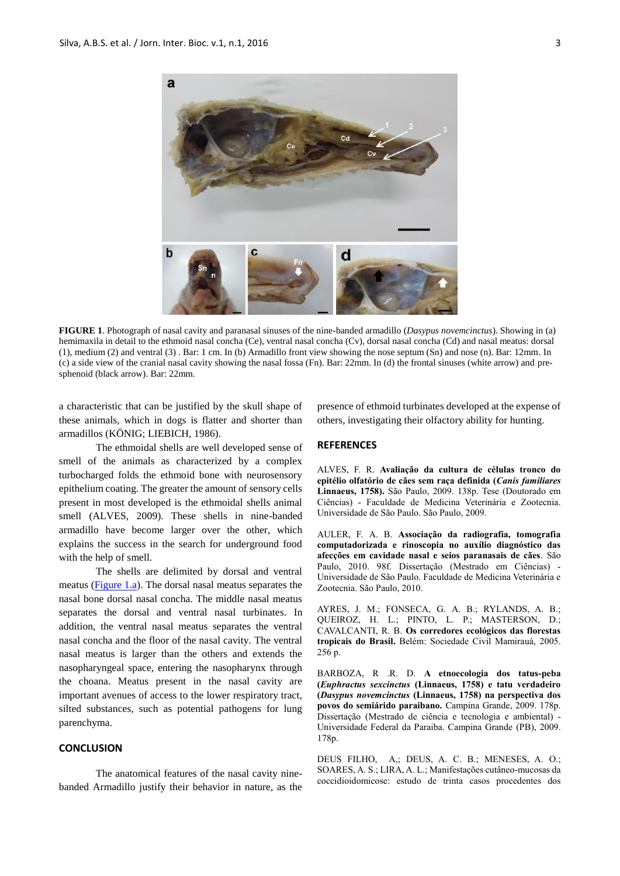<span id="page-2-0"></span>

**FIGURE 1**. Photograph of nasal cavity and paranasal sinuses of the nine-banded armadillo (*Dasypus novemcinctus*). Showing in (a) hemimaxila in detail to the ethmoid nasal concha (Ce), ventral nasal concha (Cv), dorsal nasal concha (Cd) and nasal meatus: dorsal (1), medium (2) and ventral (3) . Bar: 1 cm. In (b) Armadillo front view showing the nose septum (Sn) and nose (n). Bar: 12mm. In (c) a side view of the cranial nasal cavity showing the nasal fossa (Fn). Bar: 22mm. In (d) the frontal sinuses (white arrow) and presphenoid (black arrow). Bar: 22mm.

a characteristic that can be justified by the skull shape of these animals, which in dogs is flatter and shorter than armadillos (KÖNIG; LIEBICH, 1986).

The ethmoidal shells are well developed sense of smell of the animals as characterized by a complex turbocharged folds the ethmoid bone with neurosensory epithelium coating. The greater the amount of sensory cells present in most developed is the ethmoidal shells animal smell (ALVES, 2009). These shells in nine-banded armadillo have become larger over the other, which explains the success in the search for underground food with the help of smell.

The shells are delimited by dorsal and ventral meatus [\(Figure 1.a\)](#page-2-0). The dorsal nasal meatus separates the nasal bone dorsal nasal concha. The middle nasal meatus separates the dorsal and ventral nasal turbinates. In addition, the ventral nasal meatus separates the ventral nasal concha and the floor of the nasal cavity. The ventral nasal meatus is larger than the others and extends the nasopharyngeal space, entering the nasopharynx through the choana. Meatus present in the nasal cavity are important avenues of access to the lower respiratory tract, silted substances, such as potential pathogens for lung parenchyma.

#### **CONCLUSION**

The anatomical features of the nasal cavity ninebanded Armadillo justify their behavior in nature, as the presence of ethmoid turbinates developed at the expense of others, investigating their olfactory ability for hunting.

#### **REFERENCES**

ALVES, F. R. **Avaliação da cultura de células tronco do epitélio olfatório de cães sem raça definida (***Canis familiares*  **Linnaeus, 1758).** São Paulo, 2009. 138p. Tese (Doutorado em Ciências) - Faculdade de Medicina Veterinária e Zootecnia. Universidade de São Paulo. São Paulo, 2009.

AULER, F. A. B. **Associação da radiografia, tomografia computadorizada e rinoscopia no auxílio diagnóstico das afecções em cavidade nasal e seios paranasais de cães**. São Paulo, 2010. 98f. Dissertação (Mestrado em Ciências) - Universidade de São Paulo. Faculdade de Medicina Veterinária e Zootecnia. São Paulo, 2010.

AYRES, J. M.; FONSECA, G. A. B.; RYLANDS, A. B.; QUEIROZ, H. L.; PINTO, L. P.; MASTERSON, D.; CAVALCANTI, R. B. **Os corredores ecológicos das florestas tropicais do Brasil.** Belém: Sociedade Civil Mamirauá, 2005. 256 p.

BARBOZA, R .R. D. **A etnoecologia dos tatus-peba (***Euphractus sexcinctus* **(Linnaeus, 1758) e tatu verdadeiro (***Dasypus novemcinctus* **(Linnaeus, 1758) na perspectiva dos povos do semiárido paraibano.** Campina Grande, 2009. 178p. Dissertação (Mestrado de ciência e tecnologia e ambiental) - Universidade Federal da Paraiba. Campina Grande (PB), 2009. 178p.

DEUS FILHO, A,; DEUS, A. C. B.; MENESES, A. O.; SOARES, A. S.; LIRA, A. L.; Manifestações cutâneo-mucosas da coccidioidomicose: estudo de trinta casos procedentes dos